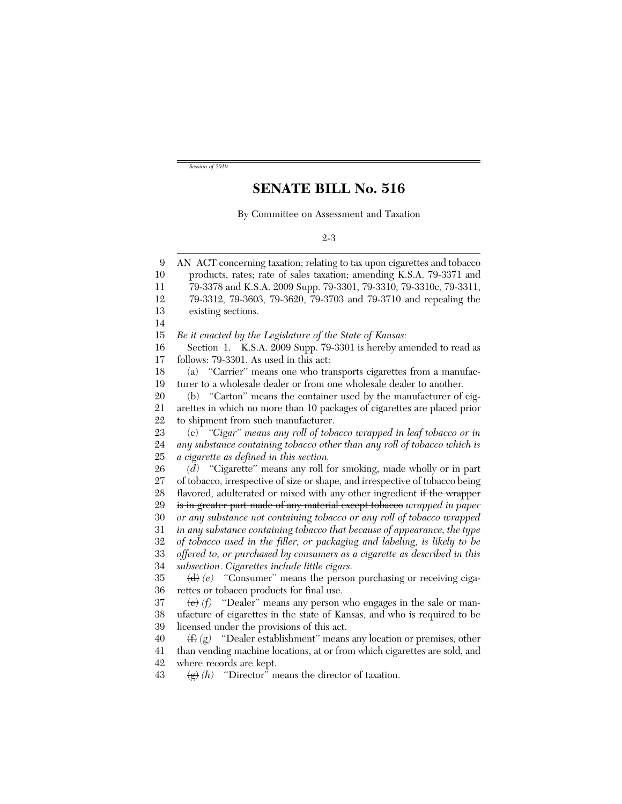*Session of 2010*

## **SENATE BILL No. 516**

By Committee on Assessment and Taxation

## 2-3

9 10 11 12 13 14 15 16 17 18 19 20 21 22 23 24 25 26 27 28 29 30 31 32 33 34 35 36 37 38 39 40 41 42 AN ACT concerning taxation; relating to tax upon cigarettes and tobacco products, rates; rate of sales taxation; amending K.S.A. 79-3371 and 79-3378 and K.S.A. 2009 Supp. 79-3301, 79-3310, 79-3310c, 79-3311, 79-3312, 79-3603, 79-3620, 79-3703 and 79-3710 and repealing the existing sections. *Be it enacted by the Legislature of the State of Kansas:* Section 1. K.S.A. 2009 Supp. 79-3301 is hereby amended to read as follows: 79-3301. As used in this act: (a) ''Carrier'' means one who transports cigarettes from a manufacturer to a wholesale dealer or from one wholesale dealer to another. (b) ''Carton'' means the container used by the manufacturer of cigarettes in which no more than 10 packages of cigarettes are placed prior to shipment from such manufacturer. (c) *''Cigar'' means any roll of tobacco wrapped in leaf tobacco or in any substance containing tobacco other than any roll of tobacco which is a cigarette as defined in this section. (d)* ''Cigarette'' means any roll for smoking, made wholly or in part of tobacco, irrespective of size or shape, and irrespective of tobacco being flavored, adulterated or mixed with any other ingredient if the wrapper is in greater part made of any material except tobacco *wrapped in paper or any substance not containing tobacco or any roll of tobacco wrapped in any substance containing tobacco that because of appearance, the type of tobacco used in the filler, or packaging and labeling, is likely to be offered to, or purchased by consumers as a cigarette as described in this subsection*. *Cigarettes include little cigars.* (d) (e) "Consumer" means the person purchasing or receiving cigarettes or tobacco products for final use.  $\langle \Theta \rangle$  *(f)* "Dealer" means any person who engages in the sale or manufacture of cigarettes in the state of Kansas, and who is required to be licensed under the provisions of this act. (f) *(g)* ''Dealer establishment'' means any location or premises, other than vending machine locations, at or from which cigarettes are sold, and where records are kept.

43  $\langle \mathbf{g} \rangle$  *(h)* "Director" means the director of taxation.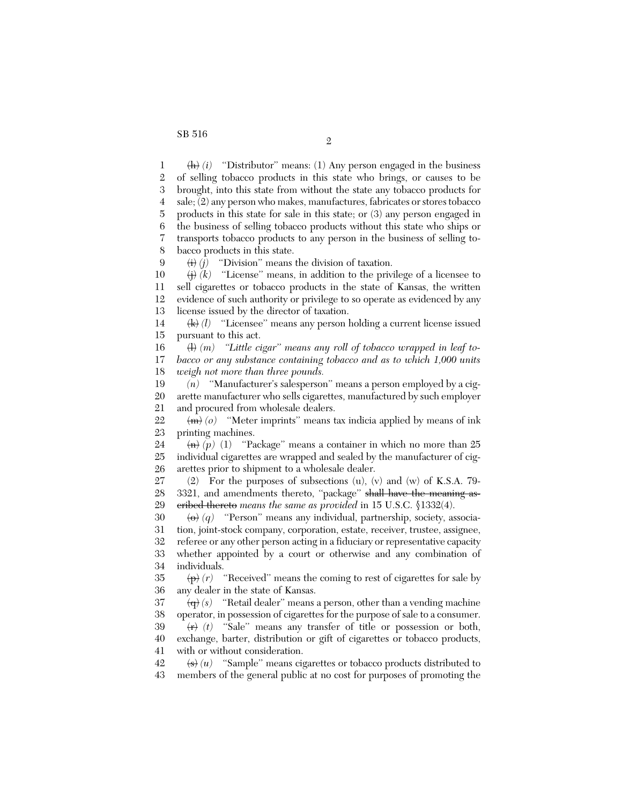1 2 3 4 5 6 7 8 9 10 11 12 13 14 15 16 17 18 19 20 21 22 23 24 25 26 27 28 29 30 31 32 33 34 35 36 37 38 39 40 41 42 43  $\langle h \rangle$  *(i)* "Distributor" means: (1) Any person engaged in the business of selling tobacco products in this state who brings, or causes to be brought, into this state from without the state any tobacco products for sale; (2) any person who makes, manufactures, fabricates or stores tobacco products in this state for sale in this state; or (3) any person engaged in the business of selling tobacco products without this state who ships or transports tobacco products to any person in the business of selling tobacco products in this state.  $\langle i \rangle$  (*j*) "Division" means the division of taxation.  $\overleftrightarrow{H}$  (*k*) "License" means, in addition to the privilege of a licensee to sell cigarettes or tobacco products in the state of Kansas, the written evidence of such authority or privilege to so operate as evidenced by any license issued by the director of taxation. (k) *(l)* ''Licensee'' means any person holding a current license issued pursuant to this act. (l) *(m) ''Little cigar'' means any roll of tobacco wrapped in leaf tobacco or any substance containing tobacco and as to which 1,000 units weigh not more than three pounds. (n)* ''Manufacturer's salesperson'' means a person employed by a cigarette manufacturer who sells cigarettes, manufactured by such employer and procured from wholesale dealers.  $\langle m \rangle$  (o) "Meter imprints" means tax indicia applied by means of ink printing machines.  $\langle n \rangle$  (p) (1) "Package" means a container in which no more than 25 individual cigarettes are wrapped and sealed by the manufacturer of cigarettes prior to shipment to a wholesale dealer. (2) For the purposes of subsections (u), (v) and (w) of K.S.A. 79- 3321, and amendments thereto, "package" shall have the meaning ascribed thereto *means the same as provided* in 15 U.S.C. §1332(4). (o) *(q)* ''Person'' means any individual, partnership, society, association, joint-stock company, corporation, estate, receiver, trustee, assignee, referee or any other person acting in a fiduciary or representative capacity whether appointed by a court or otherwise and any combination of individuals.  $\langle \overline{p} \rangle$  (*r*) "Received" means the coming to rest of cigarettes for sale by any dealer in the state of Kansas.  $\langle \mathbf{q} \rangle$  (s) "Retail dealer" means a person, other than a vending machine operator, in possession of cigarettes for the purpose of sale to a consumer.  $\langle \overrightarrow{r} \rangle$  (*t*) "Sale" means any transfer of title or possession or both, exchange, barter, distribution or gift of cigarettes or tobacco products, with or without consideration.  $\left\langle \mathbf{s} \right\rangle(u)$  "Sample" means cigarettes or tobacco products distributed to members of the general public at no cost for purposes of promoting the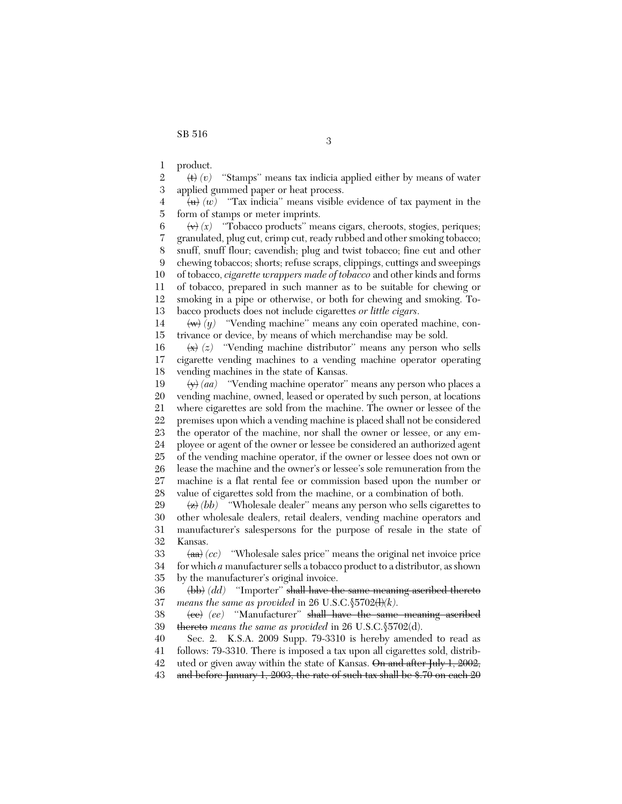1 product.

2 3 (t) *(v)* ''Stamps'' means tax indicia applied either by means of water applied gummed paper or heat process.

4 5  $\langle u \rangle$  (*w*) "Tax indicia" means visible evidence of tax payment in the form of stamps or meter imprints.

6 7 8 9 10 11 12 13  $\langle \mathbf{v} \rangle$   $\langle x \rangle$  "Tobacco products" means cigars, cheroots, stogies, periques; granulated, plug cut, crimp cut, ready rubbed and other smoking tobacco; snuff, snuff flour; cavendish; plug and twist tobacco; fine cut and other chewing tobaccos; shorts; refuse scraps, clippings, cuttings and sweepings of tobacco, *cigarette wrappers made of tobacco* and other kinds and forms of tobacco, prepared in such manner as to be suitable for chewing or smoking in a pipe or otherwise, or both for chewing and smoking. Tobacco products does not include cigarettes *or little cigars*.

14 15  $\langle w \rangle$  (*y*) "Vending machine" means any coin operated machine, contrivance or device, by means of which merchandise may be sold.

16 17 18  $\langle x \rangle$  (z) "Vending machine distributor" means any person who sells cigarette vending machines to a vending machine operator operating vending machines in the state of Kansas.

19 20 21 22 23 24 25 26 27 28 (y) *(aa)* ''Vending machine operator'' means any person who places a vending machine, owned, leased or operated by such person, at locations where cigarettes are sold from the machine. The owner or lessee of the premises upon which a vending machine is placed shall not be considered the operator of the machine, nor shall the owner or lessee, or any employee or agent of the owner or lessee be considered an authorized agent of the vending machine operator, if the owner or lessee does not own or lease the machine and the owner's or lessee's sole remuneration from the machine is a flat rental fee or commission based upon the number or value of cigarettes sold from the machine, or a combination of both.

29 30 31 32  $\langle z \rangle$  *(bb)* "Wholesale dealer" means any person who sells cigarettes to other wholesale dealers, retail dealers, vending machine operators and manufacturer's salespersons for the purpose of resale in the state of Kansas.

33 34 35 (aa) *(cc)* ''Wholesale sales price'' means the original net invoice price for which *a* manufacturer sells a tobacco product to a distributor, as shown by the manufacturer's original invoice.

36 37 (bb) *(dd)* ''Importer'' shall have the same meaning ascribed thereto *means the same as provided* in 26 U.S.C. $$5702 \times (1)(k)$ .

38 39 (cc) *(ee)* ''Manufacturer'' shall have the same meaning ascribed thereto *means the same as provided* in 26 U.S.C.§5702(d).

40 41 Sec. 2. K.S.A. 2009 Supp. 79-3310 is hereby amended to read as follows: 79-3310. There is imposed a tax upon all cigarettes sold, distrib-

42 uted or given away within the state of Kansas. On and after July 1, 2002,

43 and before January 1, 2003, the rate of such tax shall be \$.70 on each 20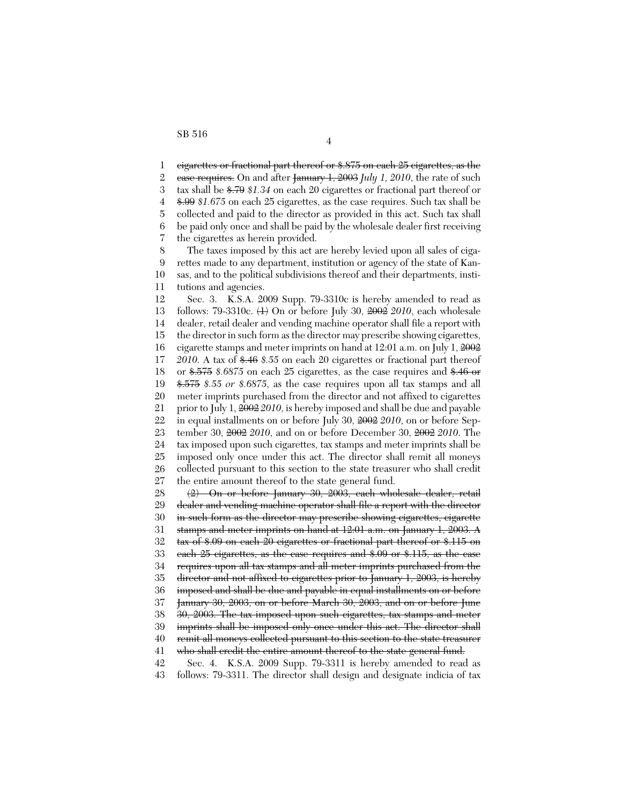1 2 3 4 5 6 7 8 9 10 11 12 13 14 15 16 17 18 19 20 21 22 23 24 25 26 27 28 29 30 31 32 33 34 35 36 37 38 39 40 41 42 43 cigarettes or fractional part thereof or \$.875 on each 25 cigarettes, as the case requires. On and after January 1, 2003 *July 1, 2010*, the rate of such tax shall be \$.79 *\$1.34* on each 20 cigarettes or fractional part thereof or \$.99 *\$1.675* on each 25 cigarettes, as the case requires. Such tax shall be collected and paid to the director as provided in this act. Such tax shall be paid only once and shall be paid by the wholesale dealer first receiving the cigarettes as herein provided. The taxes imposed by this act are hereby levied upon all sales of cigarettes made to any department, institution or agency of the state of Kansas, and to the political subdivisions thereof and their departments, institutions and agencies. Sec. 3. K.S.A. 2009 Supp. 79-3310c is hereby amended to read as follows: 79-3310c. (1) On or before July 30, 2002 *2010*, each wholesale dealer, retail dealer and vending machine operator shall file a report with the director in such form as the director may prescribe showing cigarettes, cigarette stamps and meter imprints on hand at 12:01 a.m. on July 1, 2002 *2010*. A tax of \$.46 *\$.55* on each 20 cigarettes or fractional part thereof or \$.575 *\$.6875* on each 25 cigarettes, as the case requires and \$.46 or \$.575 *\$.55 or \$.6875*, as the case requires upon all tax stamps and all meter imprints purchased from the director and not affixed to cigarettes prior to July 1, 2002 *2010*, is hereby imposed and shall be due and payable in equal installments on or before July 30, 2002 *2010*, on or before September 30, 2002 *2010*, and on or before December 30, 2002 *2010*. The tax imposed upon such cigarettes, tax stamps and meter imprints shall be imposed only once under this act. The director shall remit all moneys collected pursuant to this section to the state treasurer who shall credit the entire amount thereof to the state general fund. (2) On or before January 30, 2003, each wholesale dealer, retail dealer and vending machine operator shall file a report with the director in such form as the director may prescribe showing cigarettes, cigarette stamps and meter imprints on hand at 12:01 a.m. on January 1, 2003. A tax of \$.09 on each 20 cigarettes or fractional part thereof or \$.115 on each 25 cigarettes, as the case requires and \$.09 or \$.115, as the case requires upon all tax stamps and all meter imprints purchased from the director and not affixed to cigarettes prior to January 1, 2003, is hereby imposed and shall be due and payable in equal installments on or before January 30, 2003, on or before March 30, 2003, and on or before June 30, 2003. The tax imposed upon such cigarettes, tax stamps and meter imprints shall be imposed only once under this act. The director shall remit all moneys collected pursuant to this section to the state treasurer who shall credit the entire amount thereof to the state general fund. Sec. 4. K.S.A. 2009 Supp. 79-3311 is hereby amended to read as follows: 79-3311. The director shall design and designate indicia of tax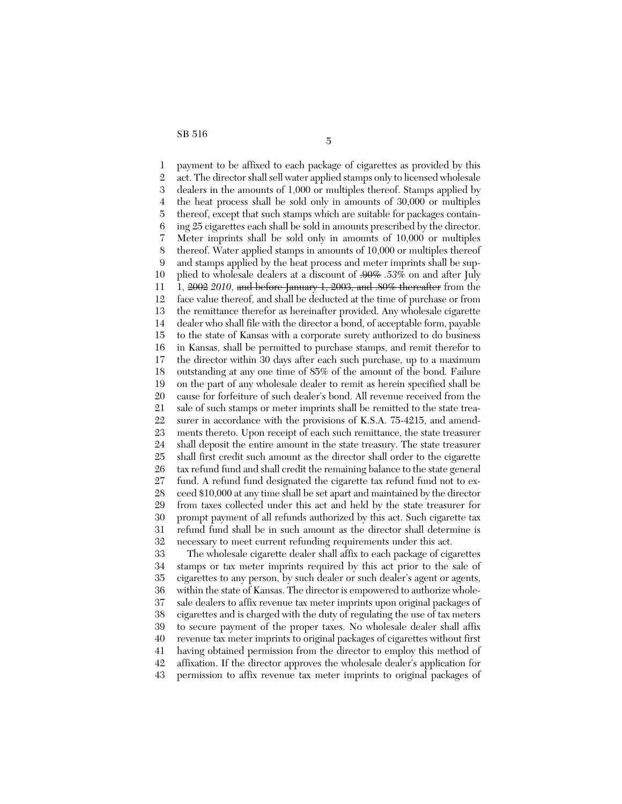1 2 3 4 5 6 7 8 9 10 11 12 13 14 15 16 17 18 19 20 21 22 23 24 25 26 27 28 29 30 31 32 33 payment to be affixed to each package of cigarettes as provided by this act. The director shall sell water applied stamps only to licensed wholesale dealers in the amounts of 1,000 or multiples thereof. Stamps applied by the heat process shall be sold only in amounts of 30,000 or multiples thereof, except that such stamps which are suitable for packages containing 25 cigarettes each shall be sold in amounts prescribed by the director. Meter imprints shall be sold only in amounts of 10,000 or multiples thereof. Water applied stamps in amounts of 10,000 or multiples thereof and stamps applied by the heat process and meter imprints shall be supplied to wholesale dealers at a discount of .90% *.53%* on and after July 1, 2002 *2010*, and before January 1, 2003, and .80% thereafter from the face value thereof, and shall be deducted at the time of purchase or from the remittance therefor as hereinafter provided. Any wholesale cigarette dealer who shall file with the director a bond, of acceptable form, payable to the state of Kansas with a corporate surety authorized to do business in Kansas, shall be permitted to purchase stamps, and remit therefor to the director within 30 days after each such purchase, up to a maximum outstanding at any one time of 85% of the amount of the bond. Failure on the part of any wholesale dealer to remit as herein specified shall be cause for forfeiture of such dealer's bond. All revenue received from the sale of such stamps or meter imprints shall be remitted to the state treasurer in accordance with the provisions of K.S.A. 75-4215, and amendments thereto. Upon receipt of each such remittance, the state treasurer shall deposit the entire amount in the state treasury. The state treasurer shall first credit such amount as the director shall order to the cigarette tax refund fund and shall credit the remaining balance to the state general fund. A refund fund designated the cigarette tax refund fund not to exceed \$10,000 at any time shall be set apart and maintained by the director from taxes collected under this act and held by the state treasurer for prompt payment of all refunds authorized by this act. Such cigarette tax refund fund shall be in such amount as the director shall determine is necessary to meet current refunding requirements under this act. The wholesale cigarette dealer shall affix to each package of cigarettes

34 35 36 37 38 39 40 41 42 43 stamps or tax meter imprints required by this act prior to the sale of cigarettes to any person, by such dealer or such dealer's agent or agents, within the state of Kansas. The director is empowered to authorize wholesale dealers to affix revenue tax meter imprints upon original packages of cigarettes and is charged with the duty of regulating the use of tax meters to secure payment of the proper taxes. No wholesale dealer shall affix revenue tax meter imprints to original packages of cigarettes without first having obtained permission from the director to employ this method of affixation. If the director approves the wholesale dealer's application for permission to affix revenue tax meter imprints to original packages of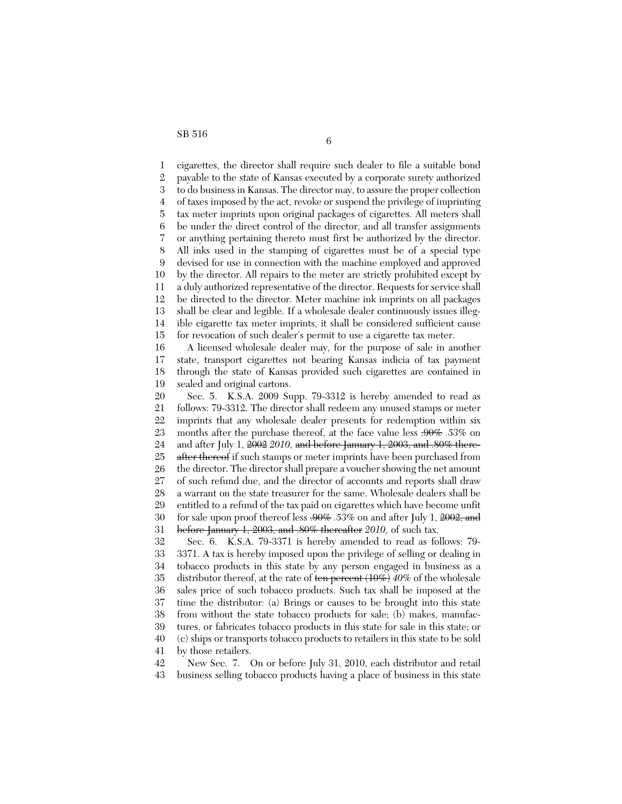1  $\mathcal{D}_{\mathcal{L}}$ 3 4 5 6 7 8 9 10 11 12 13 14 15 16 17 18 19 20 21 22 23 24 25 26 27 28 29 30 31 32 33 34 35 36 37 38 39 40 41 cigarettes, the director shall require such dealer to file a suitable bond payable to the state of Kansas executed by a corporate surety authorized to do business in Kansas. The director may, to assure the proper collection of taxes imposed by the act, revoke or suspend the privilege of imprinting tax meter imprints upon original packages of cigarettes. All meters shall be under the direct control of the director, and all transfer assignments or anything pertaining thereto must first be authorized by the director. All inks used in the stamping of cigarettes must be of a special type devised for use in connection with the machine employed and approved by the director. All repairs to the meter are strictly prohibited except by a duly authorized representative of the director. Requests for service shall be directed to the director. Meter machine ink imprints on all packages shall be clear and legible. If a wholesale dealer continuously issues illegible cigarette tax meter imprints, it shall be considered sufficient cause for revocation of such dealer's permit to use a cigarette tax meter. A licensed wholesale dealer may, for the purpose of sale in another state, transport cigarettes not bearing Kansas indicia of tax payment through the state of Kansas provided such cigarettes are contained in sealed and original cartons. Sec. 5. K.S.A. 2009 Supp. 79-3312 is hereby amended to read as follows: 79-3312. The director shall redeem any unused stamps or meter imprints that any wholesale dealer presents for redemption within six months after the purchase thereof, at the face value less .90% *.53%* on and after July 1, 2002 *2010*, and before January 1, 2003, and .80% thereafter thereof if such stamps or meter imprints have been purchased from the director. The director shall prepare a voucher showing the net amount of such refund due, and the director of accounts and reports shall draw a warrant on the state treasurer for the same. Wholesale dealers shall be entitled to a refund of the tax paid on cigarettes which have become unfit for sale upon proof thereof less .90% *.53%* on and after July 1, 2002, and before January 1, 2003, and .80% thereafter *2010,* of such tax. Sec. 6. K.S.A. 79-3371 is hereby amended to read as follows: 79- 3371. A tax is hereby imposed upon the privilege of selling or dealing in tobacco products in this state by any person engaged in business as a distributor thereof, at the rate of ten percent (10%) *40%* of the wholesale sales price of such tobacco products. Such tax shall be imposed at the time the distributor*:* (a) Brings or causes to be brought into this state from without the state tobacco products for sale; (b) makes, manufactures, or fabricates tobacco products in this state for sale in this state; or (c) ships or transports tobacco products to retailers in this state to be sold by those retailers.

42 43 New Sec. 7. On or before July 31, 2010, each distributor and retail business selling tobacco products having a place of business in this state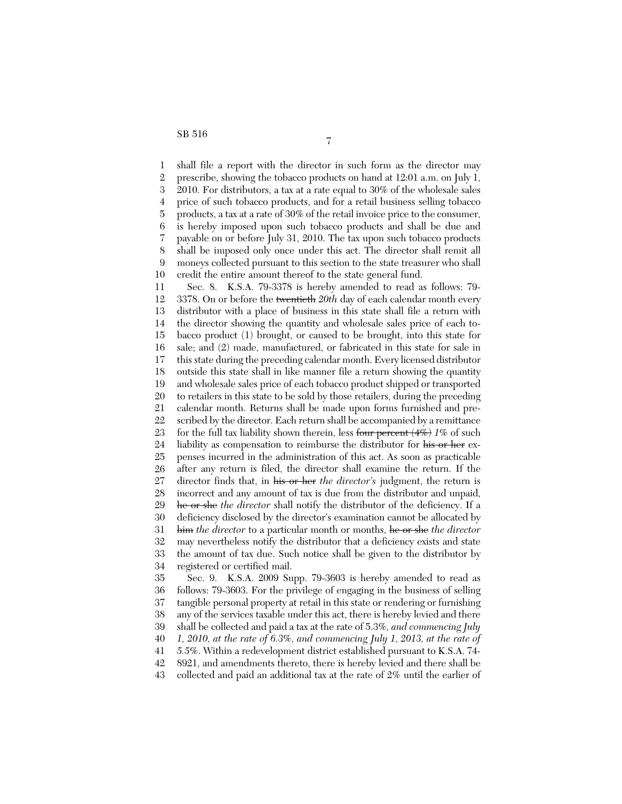1 2 3 4 5 6 7 8 9 10 11 12 13 14 15 16 17 18 19 20 21 22 23 24 25 26 27 28 29 30 31 32 33 34 35 36 37 38 39 shall file a report with the director in such form as the director may prescribe, showing the tobacco products on hand at 12:01 a.m. on July 1, 2010. For distributors, a tax at a rate equal to 30% of the wholesale sales price of such tobacco products, and for a retail business selling tobacco products, a tax at a rate of 30% of the retail invoice price to the consumer, is hereby imposed upon such tobacco products and shall be due and payable on or before July 31, 2010. The tax upon such tobacco products shall be imposed only once under this act. The director shall remit all moneys collected pursuant to this section to the state treasurer who shall credit the entire amount thereof to the state general fund. Sec. 8. K.S.A. 79-3378 is hereby amended to read as follows: 79- 3378. On or before the twentieth *20th* day of each calendar month every distributor with a place of business in this state shall file a return with the director showing the quantity and wholesale sales price of each tobacco product (1) brought, or caused to be brought, into this state for sale; and (2) made, manufactured, or fabricated in this state for sale in this state during the preceding calendar month. Every licensed distributor outside this state shall in like manner file a return showing the quantity and wholesale sales price of each tobacco product shipped or transported to retailers in this state to be sold by those retailers, during the preceding calendar month. Returns shall be made upon forms furnished and prescribed by the director. Each return shall be accompanied by a remittance for the full tax liability shown therein, less four percent (4%) *1%* of such liability as compensation to reimburse the distributor for his or her expenses incurred in the administration of this act. As soon as practicable after any return is filed, the director shall examine the return. If the director finds that, in his or her *the director's* judgment, the return is incorrect and any amount of tax is due from the distributor and unpaid, he or she *the director* shall notify the distributor of the deficiency. If a deficiency disclosed by the director's examination cannot be allocated by him *the director* to a particular month or months, he or she *the director* may nevertheless notify the distributor that a deficiency exists and state the amount of tax due. Such notice shall be given to the distributor by registered or certified mail. Sec. 9. K.S.A. 2009 Supp. 79-3603 is hereby amended to read as follows: 79-3603. For the privilege of engaging in the business of selling tangible personal property at retail in this state or rendering or furnishing any of the services taxable under this act, there is hereby levied and there shall be collected and paid a tax at the rate of 5.3%*, and commencing July*

40 *1, 2010, at the rate of 6.3%, and commencing July 1, 2013, at the rate of*

41 *5.5%*. Within a redevelopment district established pursuant to K.S.A. 74-

42 8921, and amendments thereto, there is hereby levied and there shall be

43 collected and paid an additional tax at the rate of 2% until the earlier of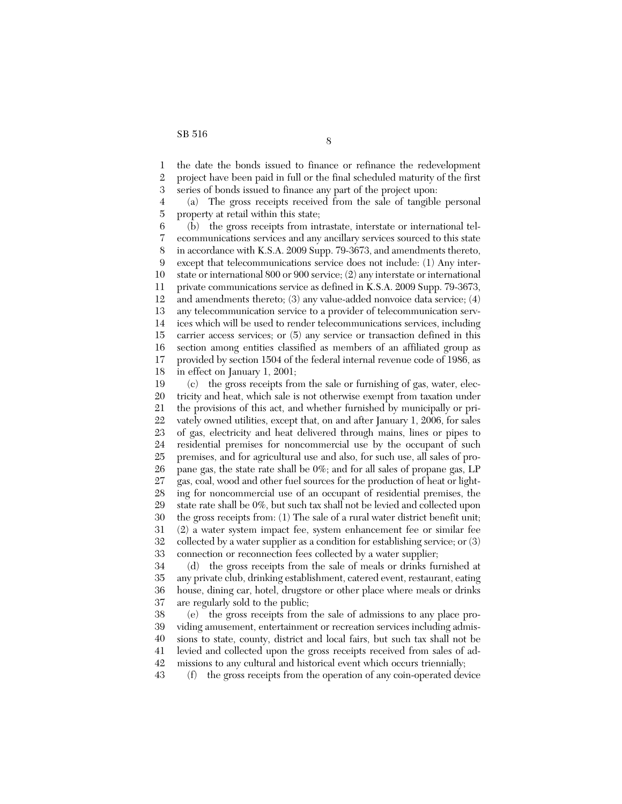1 2 3 4 5 6 7 8 9 10 11 12 13 14 15 16 17 18 19 20 21 22 23 24 25 26 27 28 29 30 31 32 33 34 35 36 37 38 39 the date the bonds issued to finance or refinance the redevelopment project have been paid in full or the final scheduled maturity of the first series of bonds issued to finance any part of the project upon: (a) The gross receipts received from the sale of tangible personal property at retail within this state; (b) the gross receipts from intrastate, interstate or international telecommunications services and any ancillary services sourced to this state in accordance with K.S.A. 2009 Supp. 79-3673, and amendments thereto, except that telecommunications service does not include: (1) Any interstate or international 800 or 900 service; (2) any interstate or international private communications service as defined in K.S.A. 2009 Supp. 79-3673, and amendments thereto; (3) any value-added nonvoice data service; (4) any telecommunication service to a provider of telecommunication services which will be used to render telecommunications services, including carrier access services; or (5) any service or transaction defined in this section among entities classified as members of an affiliated group as provided by section 1504 of the federal internal revenue code of 1986, as in effect on January 1, 2001; (c) the gross receipts from the sale or furnishing of gas, water, electricity and heat, which sale is not otherwise exempt from taxation under the provisions of this act, and whether furnished by municipally or privately owned utilities, except that, on and after January 1, 2006, for sales of gas, electricity and heat delivered through mains, lines or pipes to residential premises for noncommercial use by the occupant of such premises, and for agricultural use and also, for such use, all sales of propane gas, the state rate shall be 0%; and for all sales of propane gas, LP gas, coal, wood and other fuel sources for the production of heat or lighting for noncommercial use of an occupant of residential premises, the state rate shall be 0%, but such tax shall not be levied and collected upon the gross receipts from: (1) The sale of a rural water district benefit unit; (2) a water system impact fee, system enhancement fee or similar fee collected by a water supplier as a condition for establishing service; or (3) connection or reconnection fees collected by a water supplier; (d) the gross receipts from the sale of meals or drinks furnished at any private club, drinking establishment, catered event, restaurant, eating house, dining car, hotel, drugstore or other place where meals or drinks are regularly sold to the public; (e) the gross receipts from the sale of admissions to any place providing amusement, entertainment or recreation services including admis-

40 41 sions to state, county, district and local fairs, but such tax shall not be levied and collected upon the gross receipts received from sales of ad-

42 missions to any cultural and historical event which occurs triennially;

43 (f) the gross receipts from the operation of any coin-operated device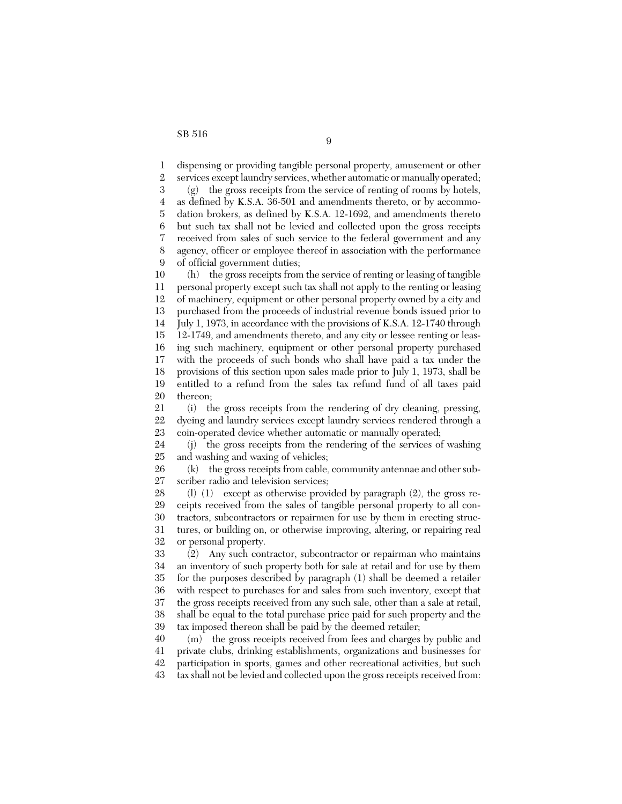1 2 3 4 5 6 7 8 9 10 11 12 13 14 15 16 17 18 19 20 21 22 23 24 25 26 27 28 29 30 31 32 33 34 35 36 37 38 39 40 41 42 dispensing or providing tangible personal property, amusement or other services except laundry services, whether automatic or manually operated; (g) the gross receipts from the service of renting of rooms by hotels, as defined by K.S.A. 36-501 and amendments thereto, or by accommodation brokers, as defined by K.S.A. 12-1692, and amendments thereto but such tax shall not be levied and collected upon the gross receipts received from sales of such service to the federal government and any agency, officer or employee thereof in association with the performance of official government duties; (h) the gross receipts from the service of renting or leasing of tangible personal property except such tax shall not apply to the renting or leasing of machinery, equipment or other personal property owned by a city and purchased from the proceeds of industrial revenue bonds issued prior to July 1, 1973, in accordance with the provisions of K.S.A. 12-1740 through 12-1749, and amendments thereto, and any city or lessee renting or leasing such machinery, equipment or other personal property purchased with the proceeds of such bonds who shall have paid a tax under the provisions of this section upon sales made prior to July 1, 1973, shall be entitled to a refund from the sales tax refund fund of all taxes paid thereon; (i) the gross receipts from the rendering of dry cleaning, pressing, dyeing and laundry services except laundry services rendered through a coin-operated device whether automatic or manually operated; (j) the gross receipts from the rendering of the services of washing and washing and waxing of vehicles; (k) the gross receipts from cable, community antennae and other subscriber radio and television services; (l) (1) except as otherwise provided by paragraph (2), the gross receipts received from the sales of tangible personal property to all contractors, subcontractors or repairmen for use by them in erecting structures, or building on, or otherwise improving, altering, or repairing real or personal property. (2) Any such contractor, subcontractor or repairman who maintains an inventory of such property both for sale at retail and for use by them for the purposes described by paragraph (1) shall be deemed a retailer with respect to purchases for and sales from such inventory, except that the gross receipts received from any such sale, other than a sale at retail, shall be equal to the total purchase price paid for such property and the tax imposed thereon shall be paid by the deemed retailer; (m) the gross receipts received from fees and charges by public and private clubs, drinking establishments, organizations and businesses for participation in sports, games and other recreational activities, but such

43 tax shall not be levied and collected upon the gross receipts received from: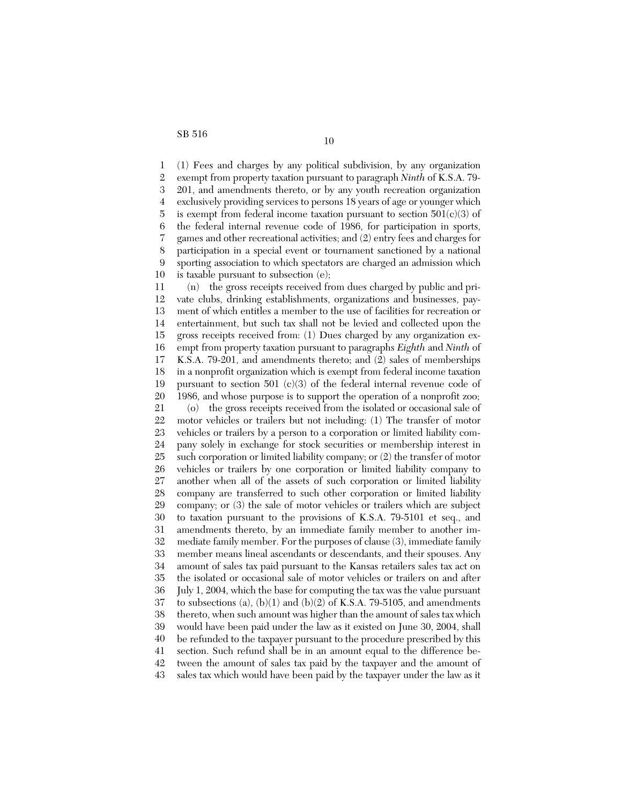1 2 3 4 5 6 7 8 9 10 11 12 13 14 15 16 17 18 19 20 21 22 23 24 25 26 27 28 29 30 31 32 33 34 35 36 37 38 39 40 41 42 43 (1) Fees and charges by any political subdivision, by any organization exempt from property taxation pursuant to paragraph *Ninth* of K.S.A. 79- 201, and amendments thereto, or by any youth recreation organization exclusively providing services to persons 18 years of age or younger which is exempt from federal income taxation pursuant to section  $501(c)(3)$  of the federal internal revenue code of 1986, for participation in sports, games and other recreational activities; and (2) entry fees and charges for participation in a special event or tournament sanctioned by a national sporting association to which spectators are charged an admission which is taxable pursuant to subsection (e); (n) the gross receipts received from dues charged by public and private clubs, drinking establishments, organizations and businesses, payment of which entitles a member to the use of facilities for recreation or entertainment, but such tax shall not be levied and collected upon the gross receipts received from: (1) Dues charged by any organization exempt from property taxation pursuant to paragraphs *Eighth* and *Ninth* of K.S.A. 79-201, and amendments thereto; and (2) sales of memberships in a nonprofit organization which is exempt from federal income taxation pursuant to section 501 (c)(3) of the federal internal revenue code of 1986, and whose purpose is to support the operation of a nonprofit zoo; (o) the gross receipts received from the isolated or occasional sale of motor vehicles or trailers but not including: (1) The transfer of motor vehicles or trailers by a person to a corporation or limited liability company solely in exchange for stock securities or membership interest in such corporation or limited liability company; or (2) the transfer of motor vehicles or trailers by one corporation or limited liability company to another when all of the assets of such corporation or limited liability company are transferred to such other corporation or limited liability company; or (3) the sale of motor vehicles or trailers which are subject to taxation pursuant to the provisions of K.S.A. 79-5101 et seq., and amendments thereto, by an immediate family member to another immediate family member. For the purposes of clause (3), immediate family member means lineal ascendants or descendants, and their spouses. Any amount of sales tax paid pursuant to the Kansas retailers sales tax act on the isolated or occasional sale of motor vehicles or trailers on and after July 1, 2004, which the base for computing the tax was the value pursuant to subsections (a),  $(b)(1)$  and  $(b)(2)$  of K.S.A. 79-5105, and amendments thereto, when such amount was higher than the amount of sales tax which would have been paid under the law as it existed on June 30, 2004, shall be refunded to the taxpayer pursuant to the procedure prescribed by this section. Such refund shall be in an amount equal to the difference between the amount of sales tax paid by the taxpayer and the amount of sales tax which would have been paid by the taxpayer under the law as it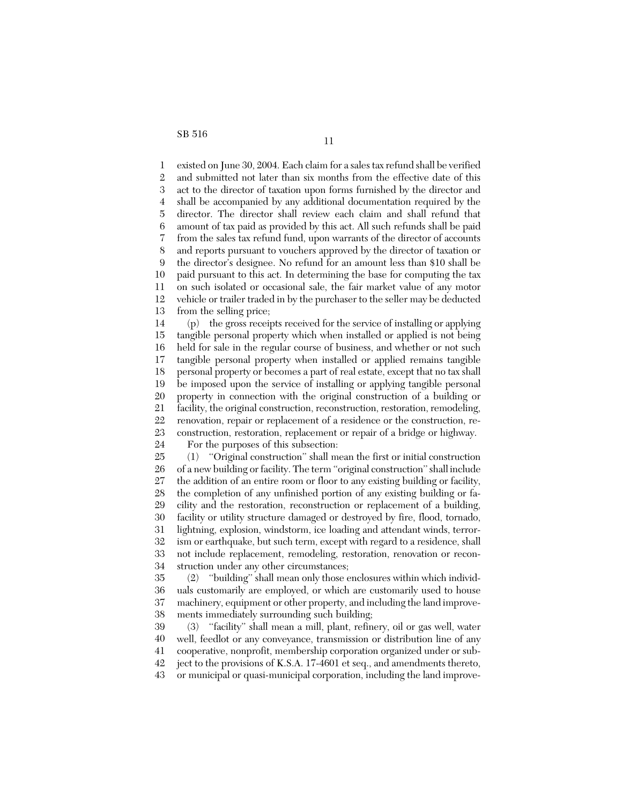1 2 3 4 5 6 7 8 9 10 11 12 13 14 15 16 17 18 19 20 21 22 23 24 25 26 27 28 29 30 31 32 33 existed on June 30, 2004. Each claim for a sales tax refund shall be verified and submitted not later than six months from the effective date of this act to the director of taxation upon forms furnished by the director and shall be accompanied by any additional documentation required by the director. The director shall review each claim and shall refund that amount of tax paid as provided by this act. All such refunds shall be paid from the sales tax refund fund, upon warrants of the director of accounts and reports pursuant to vouchers approved by the director of taxation or the director's designee. No refund for an amount less than \$10 shall be paid pursuant to this act. In determining the base for computing the tax on such isolated or occasional sale, the fair market value of any motor vehicle or trailer traded in by the purchaser to the seller may be deducted from the selling price; (p) the gross receipts received for the service of installing or applying tangible personal property which when installed or applied is not being held for sale in the regular course of business, and whether or not such tangible personal property when installed or applied remains tangible personal property or becomes a part of real estate, except that no tax shall be imposed upon the service of installing or applying tangible personal property in connection with the original construction of a building or facility, the original construction, reconstruction, restoration, remodeling, renovation, repair or replacement of a residence or the construction, reconstruction, restoration, replacement or repair of a bridge or highway. For the purposes of this subsection: (1) ''Original construction'' shall mean the first or initial construction of a new building or facility. The term ''original construction'' shall include the addition of an entire room or floor to any existing building or facility, the completion of any unfinished portion of any existing building or facility and the restoration, reconstruction or replacement of a building, facility or utility structure damaged or destroyed by fire, flood, tornado, lightning, explosion, windstorm, ice loading and attendant winds, terrorism or earthquake, but such term, except with regard to a residence, shall not include replacement, remodeling, restoration, renovation or recon-

34 struction under any other circumstances;

35 36 37 38 (2) ''building'' shall mean only those enclosures within which individuals customarily are employed, or which are customarily used to house machinery, equipment or other property, and including the land improvements immediately surrounding such building;

39 40 41 42 43 (3) ''facility'' shall mean a mill, plant, refinery, oil or gas well, water well, feedlot or any conveyance, transmission or distribution line of any cooperative, nonprofit, membership corporation organized under or subject to the provisions of K.S.A. 17-4601 et seq., and amendments thereto, or municipal or quasi-municipal corporation, including the land improve-

11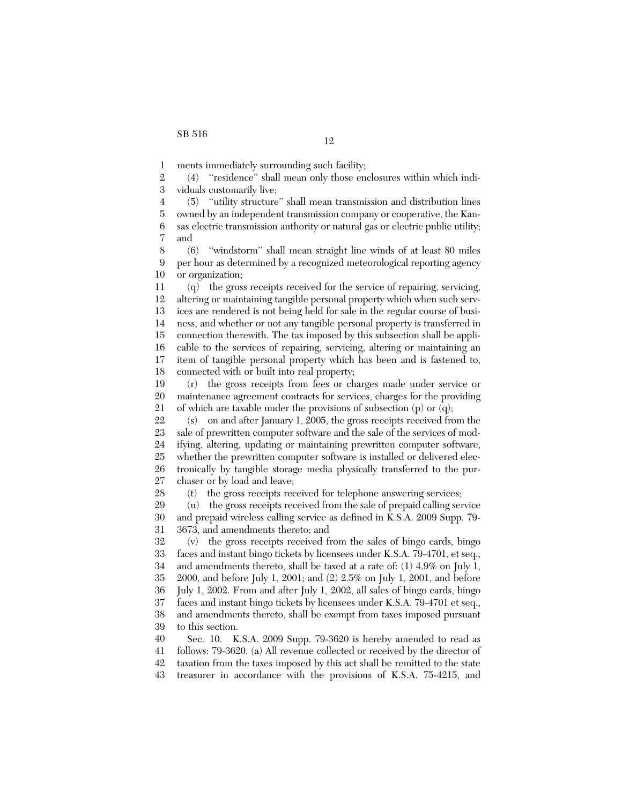1 ments immediately surrounding such facility;

2 3 (4) ''residence'' shall mean only those enclosures within which individuals customarily live;

4 5 6 7 (5) ''utility structure'' shall mean transmission and distribution lines owned by an independent transmission company or cooperative, the Kansas electric transmission authority or natural gas or electric public utility; and

8 9 10 (6) ''windstorm'' shall mean straight line winds of at least 80 miles per hour as determined by a recognized meteorological reporting agency or organization;

11 12 13 14 15 16 17 18 (q) the gross receipts received for the service of repairing, servicing, altering or maintaining tangible personal property which when such services are rendered is not being held for sale in the regular course of business, and whether or not any tangible personal property is transferred in connection therewith. The tax imposed by this subsection shall be applicable to the services of repairing, servicing, altering or maintaining an item of tangible personal property which has been and is fastened to, connected with or built into real property;

19 20 21 (r) the gross receipts from fees or charges made under service or maintenance agreement contracts for services, charges for the providing of which are taxable under the provisions of subsection (p) or (q);

22 23 24 25 26 27 (s) on and after January 1, 2005, the gross receipts received from the sale of prewritten computer software and the sale of the services of modifying, altering, updating or maintaining prewritten computer software, whether the prewritten computer software is installed or delivered electronically by tangible storage media physically transferred to the purchaser or by load and leave;

28 (t) the gross receipts received for telephone answering services;

29 30 31 (u) the gross receipts received from the sale of prepaid calling service and prepaid wireless calling service as defined in K.S.A. 2009 Supp. 79- 3673, and amendments thereto; and

32 33 34 35 36 37 38 39 (v) the gross receipts received from the sales of bingo cards, bingo faces and instant bingo tickets by licensees under K.S.A. 79-4701, et seq., and amendments thereto, shall be taxed at a rate of: (1) 4.9% on July 1, 2000, and before July 1, 2001; and (2) 2.5% on July 1, 2001, and before July 1, 2002. From and after July 1, 2002, all sales of bingo cards, bingo faces and instant bingo tickets by licensees under K.S.A. 79-4701 et seq., and amendments thereto, shall be exempt from taxes imposed pursuant to this section.

40 41 42 Sec. 10. K.S.A. 2009 Supp. 79-3620 is hereby amended to read as follows: 79-3620. (a) All revenue collected or received by the director of taxation from the taxes imposed by this act shall be remitted to the state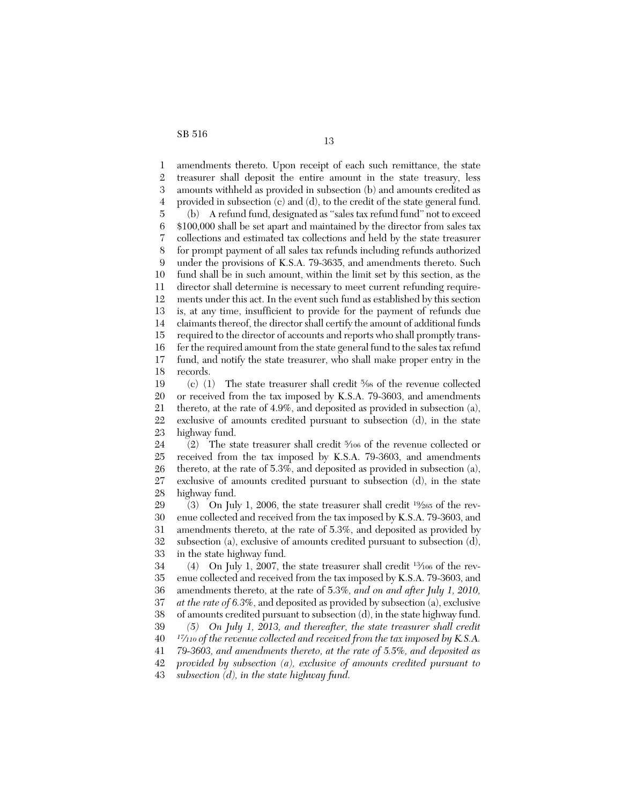1 2 3 4 5 6 7 8 9 10 11 12 13 14 15 16 17 18 19 20 21 22 23 24 25 26 27 28 29 30 31 32 33 34 35 36 37 38 39 40 41 42 43 amendments thereto. Upon receipt of each such remittance, the state treasurer shall deposit the entire amount in the state treasury, less amounts withheld as provided in subsection (b) and amounts credited as provided in subsection (c) and (d), to the credit of the state general fund. (b) A refund fund, designated as ''sales tax refund fund'' not to exceed \$100,000 shall be set apart and maintained by the director from sales tax collections and estimated tax collections and held by the state treasurer for prompt payment of all sales tax refunds including refunds authorized under the provisions of K.S.A. 79-3635, and amendments thereto. Such fund shall be in such amount, within the limit set by this section, as the director shall determine is necessary to meet current refunding requirements under this act. In the event such fund as established by this section is, at any time, insufficient to provide for the payment of refunds due claimants thereof, the director shall certify the amount of additional funds required to the director of accounts and reports who shall promptly transfer the required amount from the state general fund to the sales tax refund fund, and notify the state treasurer, who shall make proper entry in the records. (c) (1) The state treasurer shall credit 5/98 of the revenue collected or received from the tax imposed by K.S.A. 79-3603, and amendments thereto, at the rate of 4.9%, and deposited as provided in subsection (a), exclusive of amounts credited pursuant to subsection (d), in the state highway fund. (2) The state treasurer shall credit <sup>5</sup> ⁄106 of the revenue collected or received from the tax imposed by K.S.A. 79-3603, and amendments thereto, at the rate of 5.3%, and deposited as provided in subsection (a), exclusive of amounts credited pursuant to subsection (d), in the state highway fund. (3) On July 1, 2006, the state treasurer shall credit  $19/265$  of the revenue collected and received from the tax imposed by K.S.A. 79-3603, and amendments thereto, at the rate of 5.3%, and deposited as provided by subsection (a), exclusive of amounts credited pursuant to subsection (d), in the state highway fund. (4) On July 1, 2007, the state treasurer shall credit <sup>13</sup>⁄<sup>106</sup> of the revenue collected and received from the tax imposed by K.S.A. 79-3603, and amendments thereto, at the rate of 5.3%*, and on and after July 1, 2010, at the rate of 6.3%*, and deposited as provided by subsection (a), exclusive of amounts credited pursuant to subsection (d), in the state highway fund. *(5) On July 1, 2013, and thereafter, the state treasurer shall credit <sup>17</sup>⁄<sup>110</sup> of the revenue collected and received from the tax imposed by K.S.A. 79-3603, and amendments thereto, at the rate of 5.5%, and deposited as provided by subsection (a), exclusive of amounts credited pursuant to subsection (d), in the state highway fund.*

13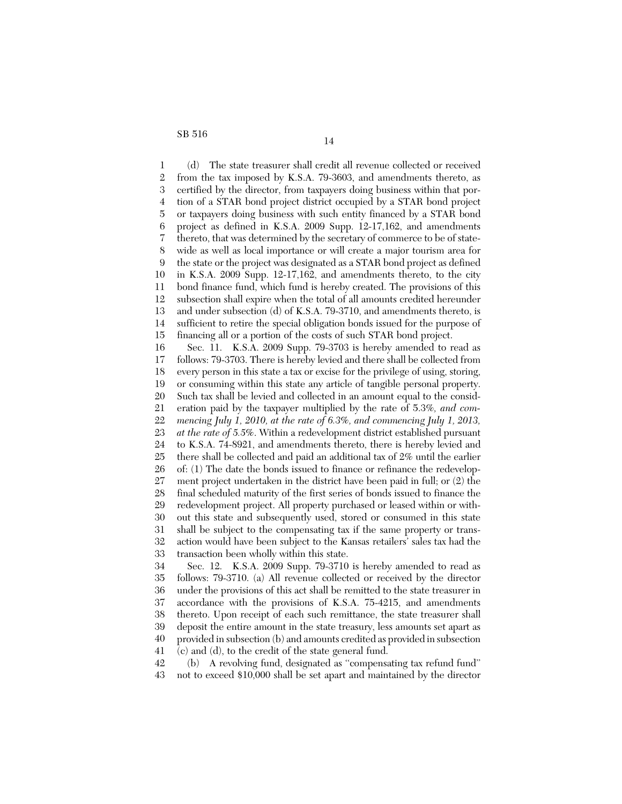1 2 3 4 5 6 7 8 9 10 11 12 13 14 15 16 17 18 19 20 21 22 23 24 25 26 27 28 29 30 31 32 33 34 35 36 37 (d) The state treasurer shall credit all revenue collected or received from the tax imposed by K.S.A. 79-3603, and amendments thereto, as certified by the director, from taxpayers doing business within that portion of a STAR bond project district occupied by a STAR bond project or taxpayers doing business with such entity financed by a STAR bond project as defined in K.S.A. 2009 Supp. 12-17,162, and amendments thereto, that was determined by the secretary of commerce to be of statewide as well as local importance or will create a major tourism area for the state or the project was designated as a STAR bond project as defined in K.S.A. 2009 Supp. 12-17,162, and amendments thereto, to the city bond finance fund, which fund is hereby created. The provisions of this subsection shall expire when the total of all amounts credited hereunder and under subsection (d) of K.S.A. 79-3710, and amendments thereto, is sufficient to retire the special obligation bonds issued for the purpose of financing all or a portion of the costs of such STAR bond project. Sec. 11. K.S.A. 2009 Supp. 79-3703 is hereby amended to read as follows: 79-3703. There is hereby levied and there shall be collected from every person in this state a tax or excise for the privilege of using, storing, or consuming within this state any article of tangible personal property. Such tax shall be levied and collected in an amount equal to the consideration paid by the taxpayer multiplied by the rate of 5.3%*, and commencing July 1, 2010, at the rate of 6.3%, and commencing July 1, 2013, at the rate of 5.5%*. Within a redevelopment district established pursuant to K.S.A. 74-8921, and amendments thereto, there is hereby levied and there shall be collected and paid an additional tax of 2% until the earlier of: (1) The date the bonds issued to finance or refinance the redevelopment project undertaken in the district have been paid in full; or (2) the final scheduled maturity of the first series of bonds issued to finance the redevelopment project. All property purchased or leased within or without this state and subsequently used, stored or consumed in this state shall be subject to the compensating tax if the same property or transaction would have been subject to the Kansas retailers' sales tax had the transaction been wholly within this state. Sec. 12. K.S.A. 2009 Supp. 79-3710 is hereby amended to read as follows: 79-3710. (a) All revenue collected or received by the director under the provisions of this act shall be remitted to the state treasurer in accordance with the provisions of K.S.A. 75-4215, and amendments thereto. Upon receipt of each such remittance, the state treasurer shall

39 40 deposit the entire amount in the state treasury, less amounts set apart as provided in subsection (b) and amounts credited as provided in subsection

41 (c) and (d), to the credit of the state general fund.

38

42 43 (b) A revolving fund, designated as ''compensating tax refund fund'' not to exceed \$10,000 shall be set apart and maintained by the director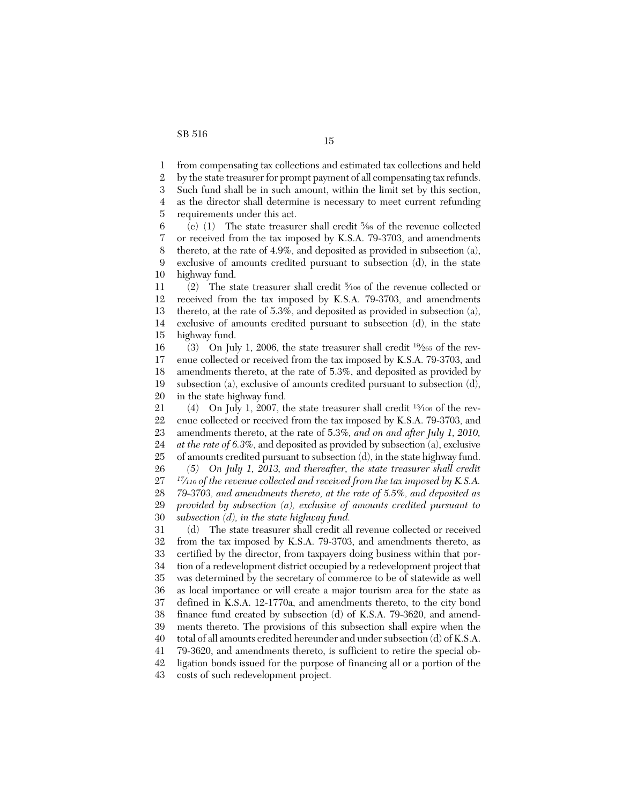1 from compensating tax collections and estimated tax collections and held

2 by the state treasurer for prompt payment of all compensating tax refunds.

3 4 Such fund shall be in such amount, within the limit set by this section, as the director shall determine is necessary to meet current refunding

5 requirements under this act.

6 7 8 9 10 (c) (1) The state treasurer shall credit 5/98 of the revenue collected or received from the tax imposed by K.S.A. 79-3703, and amendments thereto, at the rate of 4.9%, and deposited as provided in subsection (a), exclusive of amounts credited pursuant to subsection (d), in the state highway fund.

11 12 13 14 15 (2) The state treasurer shall credit <sup>5</sup> ⁄106 of the revenue collected or received from the tax imposed by K.S.A. 79-3703, and amendments thereto, at the rate of 5.3%, and deposited as provided in subsection (a), exclusive of amounts credited pursuant to subsection (d), in the state highway fund.

16 17 18 19 20 (3) On July 1, 2006, the state treasurer shall credit  $\frac{19}{265}$  of the revenue collected or received from the tax imposed by K.S.A. 79-3703, and amendments thereto, at the rate of 5.3%, and deposited as provided by subsection (a), exclusive of amounts credited pursuant to subsection (d), in the state highway fund.

21 22 23 24 25 26 27 28 29 30 (4) On July 1, 2007, the state treasurer shall credit  $\frac{13}{106}$  of the revenue collected or received from the tax imposed by K.S.A. 79-3703, and amendments thereto, at the rate of 5.3%*, and on and after July 1, 2010, at the rate of 6.3%*, and deposited as provided by subsection (a), exclusive of amounts credited pursuant to subsection (d), in the state highway fund. *(5) On July 1, 2013, and thereafter, the state treasurer shall credit <sup>17</sup>⁄<sup>110</sup> of the revenue collected and received from the tax imposed by K.S.A. 79-3703, and amendments thereto, at the rate of 5.5%, and deposited as provided by subsection (a), exclusive of amounts credited pursuant to subsection (d), in the state highway fund.*

31 32 33 34 35 36 37 38 39 40 41 42 (d) The state treasurer shall credit all revenue collected or received from the tax imposed by K.S.A. 79-3703, and amendments thereto, as certified by the director, from taxpayers doing business within that portion of a redevelopment district occupied by a redevelopment project that was determined by the secretary of commerce to be of statewide as well as local importance or will create a major tourism area for the state as defined in K.S.A. 12-1770a, and amendments thereto, to the city bond finance fund created by subsection (d) of K.S.A. 79-3620, and amendments thereto. The provisions of this subsection shall expire when the total of all amounts credited hereunder and under subsection (d) of K.S.A. 79-3620, and amendments thereto, is sufficient to retire the special obligation bonds issued for the purpose of financing all or a portion of the

43 costs of such redevelopment project.